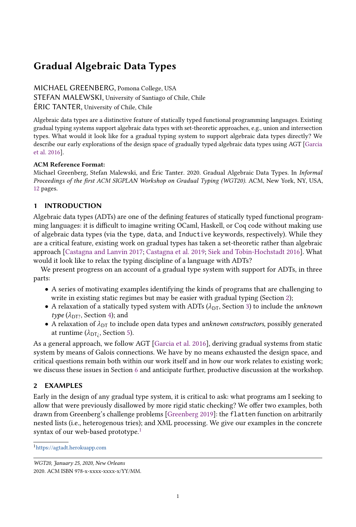# Gradual Algebraic Data Types

MICHAEL GREENBERG, Pomona College, USA STEFAN MALEWSKI, University of Santiago of Chile, Chile ÉRIC TANTER, University of Chile, Chile

Algebraic data types are a distinctive feature of statically typed functional programming languages. Existing gradual typing systems support algebraic data types with set-theoretic approaches, e.g., union and intersection types. What would it look like for a gradual typing system to support algebraic data types directly? We describe our early explorations of the design space of gradually typed algebraic data types using AGT [\[Garcia](#page-9-0) [et al.](#page-9-0) [2016\]](#page-9-0).

## ACM Reference Format:

Michael Greenberg, Stefan Malewski, and Éric Tanter. 2020. Gradual Algebraic Data Types. In Informal Proceedings of the first ACM SIGPLAN Workshop on Gradual Typing (WGT20). ACM, New York, NY, USA, [12](#page-11-0) pages.

# 1 INTRODUCTION

Algebraic data types (ADTs) are one of the defining features of statically typed functional programming languages: it is difficult to imagine writing OCaml, Haskell, or Coq code without making use of algebraic data types (via the type, data, and Inductive keywords, respectively). While they are a critical feature, existing work on gradual types has taken a set-theoretic rather than algebraic approach [\[Castagna and Lanvin](#page-9-1) [2017;](#page-9-1) [Castagna et al.](#page-9-2) [2019;](#page-9-2) [Siek and Tobin-Hochstadt](#page-10-0) [2016\]](#page-10-0). What would it look like to relax the typing discipline of a language with ADTs?

We present progress on an account of a gradual type system with support for ADTs, in three parts:

- A series of motivating examples identifying the kinds of programs that are challenging to write in existing static regimes but may be easier with gradual typing (Section [2\)](#page-0-0);
- A relaxation of a statically typed system with ADTs ( $\lambda_{DT}$ , Section [3\)](#page-3-0) to include the *unknown* type  $(\lambda_{\text{DT}2}, \text{Section 4})$ ; and
- A relaxation of  $\lambda_{DT}$  to include open data types and *unknown constructors*, possibly generated at runtime ( $\lambda_{\text{DT}}$ , Section [5\)](#page-7-1).

As a general approach, we follow AGT [\[Garcia et al.](#page-9-0) [2016\]](#page-9-0), deriving gradual systems from static system by means of Galois connections. We have by no means exhausted the design space, and critical questions remain both within our work itself and in how our work relates to existing work; we discuss these issues in Section [6](#page-8-0) and anticipate further, productive discussion at the workshop.

# <span id="page-0-0"></span>2 EXAMPLES

Early in the design of any gradual type system, it is critical to ask: what programs am I seeking to allow that were previously disallowed by more rigid static checking? We offer two examples, both drawn from Greenberg's challenge problems [\[Greenberg](#page-9-3) [2019\]](#page-9-3): the flatten function on arbitrarily nested lists (i.e., heterogenous tries); and XML processing. We give our examples in the concrete syntax of our web-based prototype.<sup>[1](#page-0-1)</sup>

<span id="page-0-1"></span><sup>1</sup><https://agtadt.herokuapp.com>

WGT20, January 25, 2020, New Orleans 2020. ACM ISBN 978-x-xxxx-xxxx-x/YY/MM.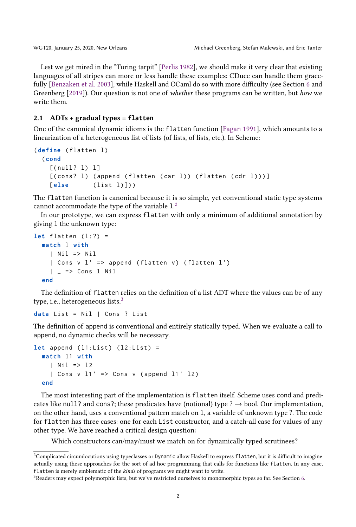Lest we get mired in the "Turing tarpit" [\[Perlis](#page-9-4) [1982\]](#page-9-4), we should make it very clear that existing languages of all stripes can more or less handle these examples: CDuce can handle them gracefully [\[Benzaken et al.](#page-9-5) [2003\]](#page-9-5), while Haskell and OCaml do so with more difficulty (see Section [6](#page-8-0) and Greenberg [\[2019\]](#page-9-3)). Our question is not one of whether these programs can be written, but how we write them.

#### <span id="page-1-2"></span>2.1 ADTs + gradual types = **flatten**

One of the canonical dynamic idioms is the flatten function [\[Fagan](#page-9-6) [1991\]](#page-9-6), which amounts to a linearization of a heterogeneous list of lists (of lists, of lists, etc.). In Scheme:

```
(define (flatten l)
 ( cond
   [( null ? l) ][(cons? 1) (append (flatten (car l)) (flatten (cdr l)))]
   [else (list 1)]))
```
The flatten function is canonical because it is so simple, yet conventional static type systems cannot accommodate the type of the variable  $1<sup>2</sup>$  $1<sup>2</sup>$  $1<sup>2</sup>$ 

In our prototype, we can express flatten with only a minimum of additional annotation by giving l the unknown type:

```
let flatten (1:?) =match l with
    | Nil => Nil
    | Cons v l' \Rightarrow append (flatten v) (flatten l')
    | = => Cons 1 Nil
  end
```
The definition of flatten relies on the definition of a list ADT where the values can be of any type, i.e., heterogeneous lists.<sup>[3](#page-1-1)</sup>

```
data List = Nil | Cons ? List
```
The definition of append is conventional and entirely statically typed. When we evaluate a call to append, no dynamic checks will be necessary.

```
let append (11:List) (12:List) =
  match l1 with
    | Nil => 12
    | Cons v 11' => Cons v (append 11' 12)
  end
```
The most interesting part of the implementation is flatten itself. Scheme uses cond and predicates like null? and cons?; these predicates have (notional) type ?  $\rightarrow$  bool. Our implementation, on the other hand, uses a conventional pattern match on l, a variable of unknown type ?. The code for flatten has three cases: one for each List constructor, and a catch-all case for values of any other type. We have reached a critical design question:

Which constructors can/may/must we match on for dynamically typed scrutinees?

<span id="page-1-0"></span> $^2$ Complicated circumlocutions using typeclasses or Dynamic allow Haskell to express flatten, but it is difficult to imagine actually using these approaches for the sort of ad hoc programming that calls for functions like flatten. In any case, flatten is merely emblematic of the kinds of programs we might want to write.

<span id="page-1-1"></span><sup>&</sup>lt;sup>3</sup>Readers may expect polymorphic lists, but we've restricted ourselves to monomorphic types so far. See Section [6.](#page-8-0)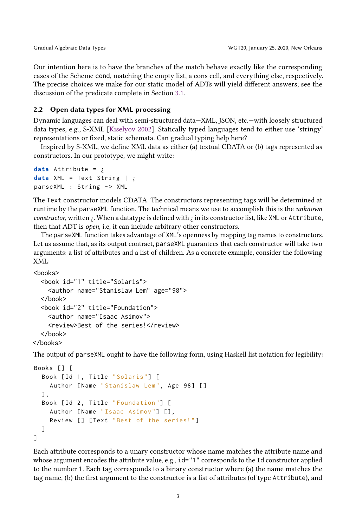Our intention here is to have the branches of the match behave exactly like the corresponding cases of the Scheme cond, matching the empty list, a cons cell, and everything else, respectively. The precise choices we make for our static model of ADTs will yield different answers; see the discussion of the predicate complete in Section [3.1.](#page-5-0)

### 2.2 Open data types for XML processing

Dynamic languages can deal with semi-structured data—XML, JSON, etc.—with loosely structured data types, e.g., S-XML [\[Kiselyov](#page-9-7) [2002\]](#page-9-7). Statically typed languages tend to either use 'stringy' representations or fixed, static schemata. Can gradual typing help here?

Inspired by S-XML, we define XML data as either (a) textual CDATA or (b) tags represented as constructors. In our prototype, we might write:

```
data Attribute = ¿
data XML = Text String | ¿
parseXML : String -> XML
```
The Text constructor models CDATA. The constructors representing tags will be determined at runtime by the parseXML function. The technical means we use to accomplish this is the unknown constructor, written  $\chi$ . When a datatype is defined with  $\chi$  in its constructor list, like XML or Attribute, then that ADT is open, i.e, it can include arbitrary other constructors.

The parseXML function takes advantage of XML's openness by mapping tag names to constructors. Let us assume that, as its output contract, parseXML guarantees that each constructor will take two arguments: a list of attributes and a list of children. As a concrete example, consider the following XML:

```
<hooks>
```

```
<book id="1" title="Solaris">
    <author name="Stanislaw Lem" age="98">
  </book>
  <book id="2" title="Foundation">
    <author name="Isaac Asimov">
    <review>Best of the series!</review>
  </book>
</books>
```
The output of parseXML ought to have the following form, using Haskell list notation for legibility:

```
Books [] [
  Book [Id 1, Title "Solaris"] [
    Author [Name "Stanislaw Lem", Age 98] []
  ] ,
  Book [Id 2, Title "Foundation"] [
    Author [Name "Isaac Asimov"] [],
    Review [] [ Text " Best of the series! "]
  ]
]
```
Each attribute corresponds to a unary constructor whose name matches the attribute name and whose argument encodes the attribute value, e.g.,  $id="1"$  corresponds to the Id constructor applied to the number 1. Each tag corresponds to a binary constructor where (a) the name matches the tag name, (b) the first argument to the constructor is a list of attributes (of type Attribute), and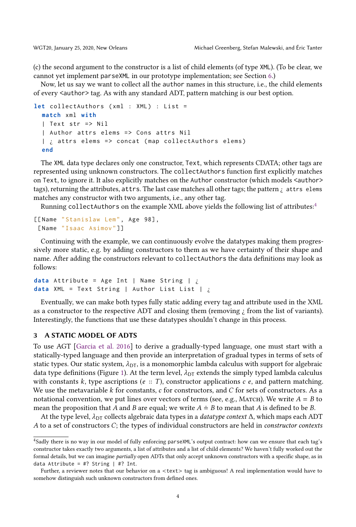(c) the second argument to the constructor is a list of child elements (of type XML). (To be clear, we cannot yet implement parseXML in our prototype implementation; see Section [6.](#page-8-0))

Now, let us say we want to collect all the author names in this structure, i.e., the child elements of every <author> tag. As with any standard ADT, pattern matching is our best option.

```
let collectAuthors (xml : XML) : List =
  match xml with
  | Text str = > Nil
  | Author attrs elems => Cons attrs Nil
  | i attrs elems => concat (map collectAuthors elems)
  end
```
The XML data type declares only one constructor, Text, which represents CDATA; other tags are represented using unknown constructors. The collectAuthors function first explicitly matches on Text, to ignore it. It also explicitly matches on the Author constructor (which models <author> tags), returning the attributes, attrs. The last case matches all other tags; the pattern  $\chi$  attrs elems matches any constructor with two arguments, i.e., any other tag.

Running collectAuthors on the example XML above yields the following list of attributes: $4$ 

```
[[Name "Stanislaw Lem", Age 98],
 [ Name " Isaac Asimov "]]
```
Continuing with the example, we can continuously evolve the datatypes making them progressively more static, e.g. by adding constructors to them as we have certainty of their shape and name. After adding the constructors relevant to collectAuthors the data definitions may look as follows:

```
data Attribute = Age Int | Name String | ¿
data XML = Text String | Author List List | ¿
```
Eventually, we can make both types fully static adding every tag and attribute used in the XML as a constructor to the respective ADT and closing them (removing  $\chi$  from the list of variants). Interestingly, the functions that use these datatypes shouldn't change in this process.

#### <span id="page-3-0"></span>3 A STATIC MODEL OF ADTS

To use AGT [\[Garcia et al.](#page-9-0) [2016\]](#page-9-0) to derive a gradually-typed language, one must start with a statically-typed language and then provide an interpretation of gradual types in terms of sets of static types. Our static system,  $\lambda_{DT}$ , is a monomorphic lambda calculus with support for algebraic data type definitions (Figure [1\)](#page-4-0). At the term level,  $\lambda_{DT}$  extends the simply typed lambda calculus with constants k, type ascriptions ( $e$ : T), constructor applications  $c$  e, and pattern matching. We use the metavariable  $k$  for constants, c for constructors, and  $C$  for sets of constructors. As a notational convention, we put lines over vectors of terms (see, e.g., MATCH). We write  $A = B$  to mean the proposition that A and B are equal; we write  $A \doteq B$  to mean that A is defined to be B.

At the type level,  $\lambda_{DT}$  collects algebraic data types in a *datatype context*  $\Delta$ , which maps each ADT A to a set of constructors C; the types of individual constructors are held in constructor contexts

<span id="page-3-1"></span><sup>4</sup>Sadly there is no way in our model of fully enforcing parseXML's output contract: how can we ensure that each tag's constructor takes exactly two arguments, a list of attributes and a list of child elements? We haven't fully worked out the formal details, but we can imagine partially open ADTs that only accept unknown constructors with a specific shape, as in data Attribute = #? String  $|$  #? Int.

Further, a reviewer notes that our behavior on a <text> tag is ambiguous! A real implementation would have to somehow distinguish such unknown constructors from defined ones.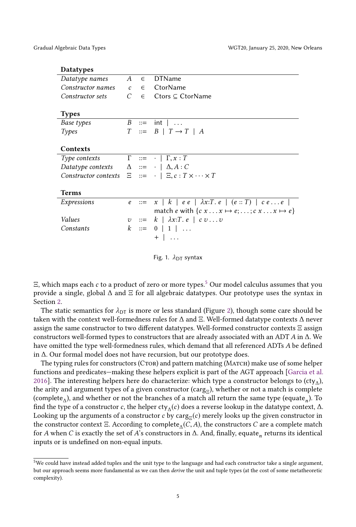<span id="page-4-0"></span>

| <b>Datatypes</b>                                     |                |            |                                                                                     |
|------------------------------------------------------|----------------|------------|-------------------------------------------------------------------------------------|
| Datatype names                                       | $\overline{A}$ | $\epsilon$ | <b>DTName</b>                                                                       |
| Constructor names                                    | $\mathcal{C}$  |            | $\epsilon$ CtorName                                                                 |
| Constructor sets                                     | C              | $\in$      | $C$ tors $\subset$ CtorName                                                         |
|                                                      |                |            |                                                                                     |
| <b>Types</b>                                         |                |            |                                                                                     |
| Base types                                           |                |            | $B \ ::= \ int \   \ \ldots$                                                        |
| Types                                                |                |            | $T :: = B   T \rightarrow T   A$                                                    |
|                                                      |                |            |                                                                                     |
| Contexts                                             |                |            |                                                                                     |
| Type contexts                                        |                |            | $\Gamma \ ::= \ \cdot \ \mid \Gamma, x : T$                                         |
| Datatype contexts $\Delta ::= \cdot   \Delta, A : C$ |                |            |                                                                                     |
|                                                      |                |            | Constructor contexts $\Xi$ ::= $\cdot$ $\Xi$ , $c : T \times \cdots \times T$       |
|                                                      |                |            |                                                                                     |
| Terms                                                |                |            |                                                                                     |
| Expressions                                          |                | $e$ ::=    | $x \mid k \mid e e \mid \lambda x : T \cdot e \mid (e :: T) \mid c e \ldots e \mid$ |
|                                                      |                |            | match e with $\{c x \dots x \mapsto e; \dots; c x \dots x \mapsto e\}$              |
| Values                                               |                | $v$ ::=    | $k \mid \lambda x : T \in \mathcal{C} \cup \mathcal{C} \cup \mathcal{C}$            |
| Constants                                            |                |            | $k \ ::= \ 0 \   \ 1 \   \ \ldots$                                                  |
|                                                      |                |            | $+$ $\vert$ $\ldots$                                                                |
|                                                      |                |            |                                                                                     |

Fig. 1.  $\lambda_{DT}$  syntax

 $\Xi$ , which maps each c to a product of zero or more types.<sup>[5](#page-4-1)</sup> Our model calculus assumes that you provide a single, global  $\Delta$  and  $\Xi$  for all algebraic datatypes. Our prototype uses the syntax in Section [2.](#page-0-0)

The static semantics for  $\lambda_{DT}$  is more or less standard (Figure [2\)](#page-5-1), though some care should be taken with the context well-formedness rules for ∆ and Ξ. Well-formed datatype contexts ∆ never assign the same constructor to two different datatypes. Well-formed constructor contexts Ξ assign constructors well-formed types to constructors that are already associated with an ADT <sup>A</sup> in ∆. We have omitted the type well-formedness rules, which demand that all referenced ADTs A be defined in ∆. Our formal model does not have recursion, but our prototype does.

The typing rules for constructors (CTOR) and pattern matching (MATCH) make use of some helper functions and predicates—making these helpers explicit is part of the AGT approach [\[Garcia et al.](#page-9-0) [2016\]](#page-9-0). The interesting helpers here do characterize: which type a constructor belongs to (cty<sub>A</sub>), the arity and argument types of a given constructor (carg<sub> $\Xi$ </sub>), whether or not a match is complete (complete<sub> $\triangle$ </sub>), and whether or not the branches of a match all return the same type (equate<sub>n</sub>). To find the type of a constructor c, the helper cty<sub>∆</sub>(c) does a reverse lookup in the datatype context,  $\Delta$ .<br>Looking up the arguments of a constructor c by carg. (c) merely looks up the given constructor in Looking up the arguments of a constructor c by carg<sub> $\Xi$ </sub>(c) merely looks up the given constructor in the constructor context  $\Xi$ . According to complete<sub> $\Delta$ </sub> $(\overline{C},A)$ , the constructors  $C$  are a complete match for A when  $\overline{C}$  is exactly the set of A's constructors in  $\overline{\Delta}$ . And finally equate returns its identic for A when C is exactly the set of A<sup>'</sup>s constructors in  $\Delta$ . And, finally, equate<sub>n</sub> returns its identical<br>inputs or is undefined on non-equal inputs inputs or is undefined on non-equal inputs.

<span id="page-4-1"></span><sup>5</sup>We could have instead added tuples and the unit type to the language and had each constructor take a single argument, but our approach seems more fundamental as we can then derive the unit and tuple types (at the cost of some metatheoretic complexity).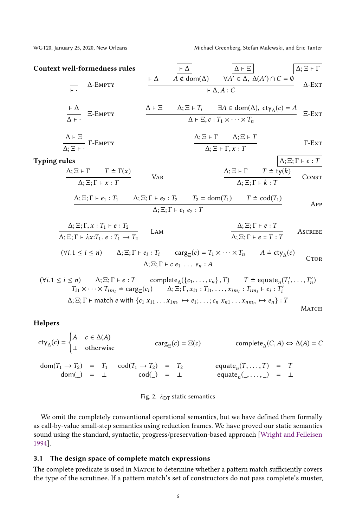<span id="page-5-1"></span>Context well-formedness rules  $\begin{bmatrix} \vdots \\ \vdots \end{bmatrix}$   $\begin{bmatrix} \Delta E \\ \Delta E \end{bmatrix}$   $\begin{bmatrix} \Delta; \Xi + \Gamma \\ \Delta; \Xi \end{bmatrix}$ ⊢ · ∆-Empty  $\vdash \Delta$  A ∉ dom(Δ)  $\forall A' \in \Delta$ ,  $\Delta(A') \cap C = \emptyset$  $+\Delta, A : C$   $\Delta \cdot \text{E(X)}$   $\Delta$ -Ext ⊢ ∆  $\frac{1}{\Delta}$  =-EMPTY  $\Delta \vdash \Xi$   $\Delta; \Xi \vdash T_i$   $\exists A \in \text{dom}(\Delta), \text{ cty}_{\Delta}(c) = A$  $\Delta \vdash \Xi, c : T_1 \times \cdots \times T_n$   $\Xi$ -Ext ∆ <sup>⊢</sup> Ξ  $\frac{\Delta + \Delta}{\Delta; \Xi \vdash}$  Γ-EMPTY  $\Delta$ ;  $\Xi$   $\vdash$   $\Gamma$   $\Delta$ ;  $\Xi$   $\vdash$   $T$  $\Delta; \Xi \vdash \Gamma, x : T$ Γ-Ext Typing rules  $\Delta$ ;  $\Xi$ ; Γ  $\vdash e : T$  $\Delta$ ;  $\Xi$   $\vdash$   $\Gamma$   $T$   $\doteq$   $\Gamma(x)$  $\Delta; \Xi; \Gamma \vdash x : T$ Var  $\Delta$ ;  $\Xi$   $\vdash$   $\Gamma$   $T \doteq \overline{ty(k)}$  $\Delta$ ;  $\Xi$ ;  $\Gamma$  +  $k$  :  $T$  CONST  $\Delta$ ; Ξ; Γ + e<sub>1</sub> : T<sub>1</sub>  $\Delta$ ; Ξ; Γ + e<sub>2</sub> : T<sub>2</sub>  $T_2 = \text{dom}(T_1)$   $T = \text{cod}(T_1)$  $\Delta$ ;  $\Xi$ ;  $\Gamma$   $\vdash$   $e_1$   $e_2$  :  $T$ App  $\Delta$ ; Ξ; Γ,  $x : T_1 \vdash e : T_2$  $\frac{\Delta_1, \Delta_2, \Gamma_3, \lambda + \Gamma_1 + \epsilon + \Gamma_2}{\Delta_2 \Xi; \Gamma \vdash \lambda x: T_1 \cdot e: T_1 \to T_2}$  LAM  $\Delta$ ;  $\Xi$ ;  $\Gamma$   $\vdash$   $e$  :  $T$  $\Delta$ ;  $\Xi$ ;  $\Gamma$  + e ::  $T$  :  $T$  Ascribe  $(\forall i.1 \le i \le n)$   $\Delta; \Xi; \Gamma \vdash e_i : T_i$   $\text{carg}_{\Xi}(c) = T_1 \times \cdots \times T_n$   $A = \text{cty}_{\Delta}(c)$  $\Delta$ ;  $\Xi$ ;  $\Gamma$   $\vdash$   $c$   $e_1$  ...  $e_n$  : A **CTOR**  $(\forall i.1 \le i \le n)$   $\Delta$ ;  $\Xi$ ;  $\Gamma \vdash e : T$  complete<sub> $\Delta$ </sub> $(\{c_1, \ldots, c_n\}, T)$   $T = \text{square}_n(T'_1, \ldots, T'_n)$ <br>  $T_{\Xi} \times \cdots \times T_{\Xi} = \text{Garg}(c_1)$   $\Delta$ ;  $\Xi$ ;  $\Gamma$   $\chi_i \cdot T_i$   $\chi_i \cdot T_i$   $\vdots$   $\vdots$   $\vdots$   $\vdots$   $T'_i$  $\Delta$ ;  $\Xi$ ;  $\Gamma$  +  $e$  :  $T$  complete<sub> $\Delta$ </sub>({ $c_1$ , ...,  $c_n$ },  $T$ )  $T \doteq$  equate<sub>n</sub>( $T'_1$ , ...,  $T'_n$ <br>  $T_{i1} \times \cdots \times T_{im_i} \doteq \text{carg}_{\Xi}(c_i)$   $\Delta$ ;  $\Xi$ ;  $\Gamma$ ,  $x_{i1}$  :  $T_{i1}$ , ...,  $x_{im_i}$  :  $T_{im_i}$  +  $e_i$  :  $T'_i$  $\Delta; \Xi; \Gamma \vdash \text{match } e \text{ with } \{c_1 x_{11} \ldots x_{1m_1} \mapsto e_1; \ldots; c_n x_{n1} \ldots x_{nm_n} \mapsto e_n\} : T$ MATCH

#### Helpers

 $cty_{\Delta}(c) =$  $\begin{cases} A & c \in \Delta(A) \\ 0 & A \end{cases}$  $\perp$  otherwise carg $\parallel$  $(c) = \Xi(c)$  complete<sub>∆</sub> $(C, A) \Leftrightarrow \Delta(A) = C$ 

 $\text{dom}(T_1 \rightarrow T_2) = T_1$  $dom(\_) = \bot$  $\text{cod}(T_1 \to T_2) = T_2$  $cod(\_) = \bot$ equate<sub>n</sub> $(T, ..., T) = T$ <br>equate<sub>n</sub> $($ , ...,  $) = \bot$ 

#### Fig. 2.  $\lambda_{DT}$  static semantics

We omit the completely conventional operational semantics, but we have defined them formally as call-by-value small-step semantics using reduction frames. We have proved our static semantics sound using the standard, syntactic, progress/preservation-based approach [\[Wright and Felleisen](#page-10-1) [1994\]](#page-10-1).

#### <span id="page-5-0"></span>3.1 The design space of complete match expressions

The complete predicate is used in MATCH to determine whether a pattern match sufficiently covers the type of the scrutinee. If a pattern match's set of constructors do not pass complete's muster,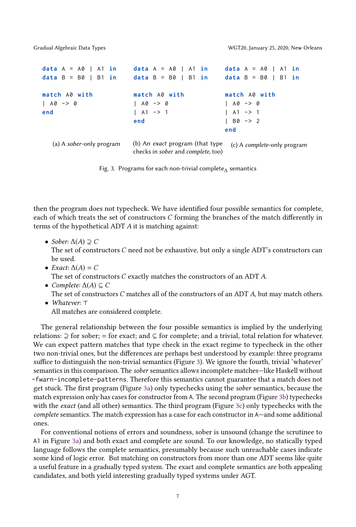```
data A = A0 | A1 in
data B = B0 | B1 in
match A0 with
| A0 - > 0end
   (a) A sober-only program
                           data A = A0 | A1 in
                           data B = B0 | B1 in
                           match A0 with
                           | A0 - > 0| A1 -> 1
                           end
                           (b) An exact program (that type
                           checks in sober and complete, too)
                                                      data A = A0 | A1 in
                                                      data B = B0 | B1 in
                                                      match A0 with
                                                      1 A0 - > 0| A1 -> 1
                                                      | B0 - > 2
                                                      end
                                                        (c) A complete-only program
```
Fig. 3. Programs for each non-trivial complete<sub> $\Lambda$ </sub> semantics

then the program does not typecheck. We have identified four possible semantics for complete, each of which treats the set of constructors C forming the branches of the match differently in terms of the hypothetical ADT A it is matching against:

• Sober:  $\Delta(A) \supseteq C$ 

The set of constructors  $C$  need not be exhaustive, but only a single ADT's constructors can be used.

- Exact:  $\Delta(A) = C$ The set of constructors C exactly matches the constructors of an ADT A.
- Complete:  $\Delta(A) \subseteq C$ The set of constructors C matches all of the constructors of an ADT A, but may match others. • Whatever: ⊤
- All matches are considered complete.

The general relationship between the four possible semantics is implied by the underlying relations: ⊇ for sober; = for exact; and ⊆ for complete; and a trivial, total relation for whatever. We can expect pattern matches that type check in the exact regime to typecheck in the other two non-trivial ones, but the differences are perhaps best understood by example: three programs suffice to distinguish the non-trivial semantics (Figure [3\)](#page-6-0). We ignore the fourth, trivial 'whatever' semantics in this comparison. The sober semantics allows incomplete matches—like Haskell without -fwarn-incomplete-patterns. Therefore this semantics cannot guarantee that a match does not get stuck. The first program (Figure [3a\)](#page-6-0) only typechecks using the sober semantics, because the match expression only has cases for constructor from A. The second program (Figure [3b\)](#page-6-0) typechecks with the exact (and all other) semantics. The third program (Figure [3c\)](#page-6-0) only typechecks with the complete semantics. The match expression has a case for each constructor in A—and some additional ones.

For conventional notions of errors and soundness, sober is unsound (change the scrutinee to A1 in Figure [3a\)](#page-6-0) and both exact and complete are sound. To our knowledge, no statically typed language follows the complete semantics, presumably because such unreachable cases indicate some kind of logic error. But matching on constructors from more than one ADT seems like quite a useful feature in a gradually typed system. The exact and complete semantics are both appealing candidates, and both yield interesting gradually typed systems under AGT.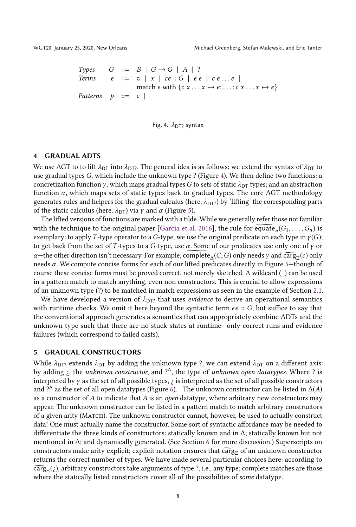<span id="page-7-2"></span>

Types  $G ::= B | G \rightarrow G | A | ?$ Terms  $e ::= v | x | \varepsilon e :: G | e e | c e ... e |$ match e with  $\{c \ x \dots x \mapsto e; \dots; c \ x \dots x \mapsto e\}$ Patterns  $p ::= c$  |



#### <span id="page-7-0"></span>4 GRADUAL ADTS

We use AGT to to lift  $\lambda_{DT}$  into  $\lambda_{DT}$ . The general idea is as follows: we extend the syntax of  $\lambda_{DT}$  to use gradual types G, which include the unknown type ? (Figure [4\)](#page-7-2). We then define two functions: a concretization function  $\gamma$ , which maps gradual types G to sets of static  $\lambda_{\text{DT}}$  types; and an abstraction function  $\alpha$ , which maps sets of static types back to gradual types. The core AGT methodology generates rules and helpers for the gradual calculus (here,  $\lambda_{DT}$ ) by 'lifting' the corresponding parts of the static calculus (here,  $\lambda_{DT}$ ) via *γ* and *α* (Figure [5\)](#page-8-1).

The lifted versions of functions are marked with a tilde. While we generally refer those not familiar with the technique to the original paper [\[Garcia et al.](#page-9-0) [2016\]](#page-9-0), the rule for  $\widetilde{\text{equate}}_n(G_1, \ldots, G_n)$  is<br>examplary to apply *T*-type operator to a G-type we use the original predicate on each type in  $y(G)$ exemplary: to apply T-type operator to a G-type, we use the original predicate on each type in  $\gamma(G)$ ; to get back from the set of T-types to a G-type, use  $\alpha$ . Some of our predicates use only one of  $\gamma$  or  $\alpha$ —the other direction isn't necessary. For example,  $\overline{\text{complete}}_{\Delta}(C, G)$  only needs  $\gamma$  and  $\overline{\text{carg}}_{\Xi}(c)$  only needs α. We compute concise forms for each of our lifted predicates directly in Figure [5—](#page-8-1)though of course these concise forms must be proved correct, not merely sketched. A wildcard (\_) can be used in a pattern match to match anything, even non constructors. This is crucial to allow expressions of an unknown type (?) to be matched in match expressions as seen in the example of Section [2.1.](#page-1-2)

We have developed a version of  $\lambda_{DT}$  that uses *evidence* to derive an operational semantics with runtime checks. We omit it here beyond the syntactic term  $\epsilon e$  :: G, but suffice to say that the conventional approach generates a semantics that can appropriately combine ADTs and the unknown type such that there are no stuck states at runtime—only correct runs and evidence failures (which correspond to failed casts).

#### <span id="page-7-1"></span>5 GRADUAL CONSTRUCTORS

While  $\lambda_{DT}$ ? extends  $\lambda_{DT}$  by adding the unknown type ?, we can extend  $\lambda_{DT}$  on a different axis: by adding  $\zeta$ , the unknown constructor, and  $?$ <sup>A</sup>, the type of unknown open datatypes. Where ? is interpreted by  $\gamma$  as the set of all possible types,  $\chi$  is interpreted as the set of all possible constructors and ?<sup>A</sup> as the set of all open datatypes (Figure [6\)](#page-11-1). The unknown constructor can be listed in  $\Delta(A)$ )<br>as a constructor of 4 to indicate that 4 is an open datatype, where arbitrary new constructors may as a constructor of  $A$  to indicate that  $A$  is an open datatype, where arbitrary new constructors may appear. The unknown constructor can be listed in a pattern match to match arbitrary constructors of a given arity (Match). The unknown constructor cannot, however, be used to actually construct data! One must actually name the constructor. Some sort of syntactic affordance may be needed to differentiate the three kinds of constructors: statically known and in ∆; statically known but not mentioned in ∆; and dynamically generated. (See Section [6](#page-8-0) for more discussion.) Superscripts on constructors make arity explicit; explicit notation ensures that  $\widetilde{\text{carg}}_{\Xi}$  of an unknown constructor returns the correct number of types. We have made several particular choices here: according to  $c\widetilde{\text{arg}}_{\Xi}(i)$ , arbitrary constructors take arguments of type ?, i.e., any type; complete matches are those<br>where the statically listed constructors cover all of the possibilities of some datatype where the statically listed constructors cover all of the possibilites of *some* datatype.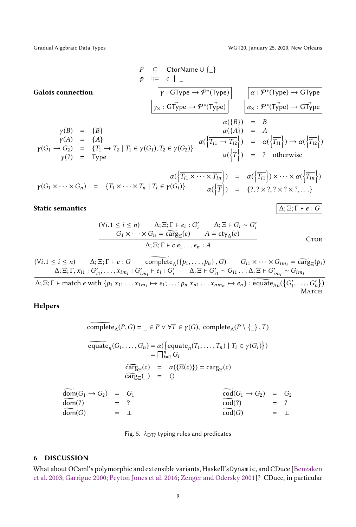Gradual Algebraic Data Types WGT20, January 25, 2020, New Orleans

<span id="page-8-1"></span>**Galois connection**

\n
$$
P \subseteq \text{CtorName } \cup \{\_\}
$$
\n
$$
p ::= c \mid \_\
$$
\n**Galois connection**

\n
$$
\boxed{\gamma : GType \rightarrow \mathcal{P}^*(Type)}
$$
\n
$$
\boxed{\alpha : \mathcal{P}^*(Type) \rightarrow GType}
$$
\n
$$
\boxed{\alpha : \mathcal{P}^*(Type) \rightarrow GType}
$$
\n
$$
\boxed{\alpha : \mathcal{P}^*(Type) \rightarrow GType}
$$
\n
$$
\boxed{\alpha : \mathcal{P}^*(Type) \rightarrow GType}
$$
\n
$$
\boxed{\alpha : \mathcal{P}^*(Type) \rightarrow GType}
$$
\n
$$
\boxed{\alpha : \mathcal{P}^*(Type) \rightarrow GType}
$$
\n
$$
\boxed{\alpha : \mathcal{P}^*(Type) \rightarrow GType}
$$
\n
$$
\boxed{\alpha : \mathcal{P}^*(Type) \rightarrow GType}
$$
\n
$$
\boxed{\alpha : \mathcal{P}^*(Type) \rightarrow GType}
$$
\n
$$
\boxed{\alpha : \mathcal{P}^*(Type) \rightarrow GType}
$$
\n
$$
\boxed{\alpha : \mathcal{P}^*(Type) \rightarrow GType}
$$
\n
$$
\boxed{\alpha : \mathcal{P}^*(Type) \rightarrow GType}
$$
\n
$$
\boxed{\alpha : \mathcal{P}^*(Type) \rightarrow GType}
$$
\n
$$
\boxed{\alpha : \mathcal{P}^*(Type) \rightarrow GType}
$$
\n
$$
\boxed{\alpha : \mathcal{P}^*(Type) \rightarrow GType}
$$
\n
$$
\boxed{\alpha : \mathcal{P}^*(Type) \rightarrow GType}
$$
\n
$$
\boxed{\alpha : \mathcal{P}^*(Type) \rightarrow GType}
$$
\n
$$
\boxed{\alpha : \mathcal{P}^*(Type) \rightarrow GType}
$$
\n
$$
\boxed{\alpha : \mathcal{P}^*(Type) \rightarrow GType}
$$
\n
$$
\boxed{\alpha : \mathcal{P}^*(Type) \rightarrow GType}
$$
\n
$$
\boxed{\alpha : \mathcal{P}^*(Type) \rightarrow GType}
$$
\n
$$
\boxed{\alpha : \mathcal{P}^*(Type) \rightarrow GType}
$$
\n
$$
\boxed{\alpha : \mathcal{P}^*(Type) \rightarrow GType}
$$
\n
$$
\boxed{\alpha : \mathcal{P}^*(Type) \rightarrow GType}
$$

$$
\gamma(G_1 \times \cdots \times G_n) = \{T_1 \times \cdots \times T_n \mid T_i \in \gamma(G_i)\} \qquad \alpha(\left\{\overline{T_{i1}}\right\}) = \alpha(\left\{\overline{T_{i1}}\right\}) \times \cdots \times \alpha(\left\{\overline{T_{in}}\right\})
$$
\n
$$
\alpha(\left\{\overline{T}\right\}) = \{?, ? \times ?, ? \times ?, ...\}
$$

# Static semantics  $\Delta; \Xi; \Gamma \vdash e : G$

 $\overline{a}$ 

$$
(\forall i.1 \le i \le n) \qquad \Delta; \Xi; \Gamma \vdash e_i : G'_i \qquad \Delta; \Xi \vdash G_i \sim G'_i
$$
  
\n
$$
G_1 \times \cdots \times G_n \doteq \widehat{\text{carg}}_{\Xi}(c) \qquad A \doteq \text{cty}_{\Delta}(c)
$$
  
\n
$$
\Delta; \Xi; \Gamma \vdash c \ e_1 \ldots e_n : A
$$
  
\n
$$
\Box
$$

$$
(\forall i.1 \leq i \leq n) \qquad \Delta; \Xi; \Gamma \vdash e : G \qquad \widehat{\text{complete}}_{\Delta}(\{p_1, \ldots, p_n\}, G) \qquad G_{i1} \times \cdots \times G_{im_i} \doteq \widehat{\text{carg}}_{\Xi}(p_i)
$$
\n
$$
\Delta; \Xi; \Gamma, x_{i1} : G'_{i1}, \ldots, x_{im_i} : G'_{im_i} \vdash e_i : G'_i \qquad \Delta; \Xi \vdash G'_{i1} \sim G_{i1} \ldots \Delta; \Xi \vdash G'_{im_i} \sim G_{im_i}
$$

 $\Delta;\Xi;\Gamma\vdash \text{match }e \text{ with }\{p_1\ x_{11}\dots x_{1m_1}\mapsto e_1;\dots;p_n\ x_{n1}\dots x_{nm_n}\mapsto e_n\}:\widetilde{\text{equalte}}_{\Delta n}(\{G'_1,\dots,G'_n\})$ ..........<br>Матсн

Helpers

$$
\overline{\text{complete}}_{\Delta}(P, G) = \underline{\phantom{A}} \in P \lor \forall T \in \gamma(G), \text{ complete}_{\Delta}(P \setminus \underline{\phantom{A}}), T)
$$
\n
$$
\overline{\text{equate}}_{n}(G_{1}, \dots, G_{n}) = \alpha(\{\text{equate}_{n}(T_{1}, \dots, T_{n}) \mid T_{i} \in \gamma(G_{i})\})
$$
\n
$$
= \boxed{\begin{array}{ll}\n\overline{\phantom{A}}_{i=1}^{n} G_{i}} \\
\overline{\phantom{A}}_{i=1}^{n} G_{i} \\
\overline{\phantom{A}}_{i=1}^{n} G_{i} \\
\overline{\phantom{A}}_{i=1}^{n} G_{i} \\
\overline{\phantom{A}}_{i=1}^{n} G_{i} \\
\overline{\phantom{A}}_{i=1}^{n} G_{i} \\
\overline{\phantom{A}}_{i=1}^{n} G_{i} \\
\overline{\phantom{A}}_{i=1}^{n} G_{i} \\
\overline{\phantom{A}}_{i=1}^{n} G_{i} \\
\overline{\phantom{A}}_{i=1}^{n} G_{i} \\
\overline{\phantom{A}}_{i=1}^{n} G_{i} \\
\overline{\phantom{A}}_{i=1}^{n} G_{i} \\
\overline{\phantom{A}}_{i=1}^{n} G_{i} \\
\overline{\phantom{A}}_{i=1}^{n} G_{i} \\
\overline{\phantom{A}}_{i=1}^{n} G_{i} \\
\overline{\phantom{A}}_{i=1}^{n} G_{i} \\
\overline{\phantom{A}}_{i=1}^{n} G_{i} \\
\overline{\phantom{A}}_{i=1}^{n} G_{i} \\
\overline{\phantom{A}}_{i=1}^{n} G_{i} \\
\overline{\phantom{A}}_{i=1}^{n} G_{i} \\
\overline{\phantom{A}}_{i=1}^{n} G_{i} \\
\overline{\phantom{A}}_{i=1}^{n} G_{i} \\
\overline{\phantom{A}}_{i=1}^{n} G_{i} \\
\overline{\phantom{A}}_{i=1}^{n} G_{i} \\
\overline{\phantom{A}}_{i=1}^{n} G_{i} \\
\overline{\phantom{A}}_{i=1}^{n} G_{i} \\
\overline{\phantom{A}}_{i=1}^{n} G_{i} \\
\overline{\phantom{A}}_{i=1
$$

Fig. 5.  $\lambda$ <sub>DT?</sub> typing rules and predicates

#### <span id="page-8-0"></span>6 DISCUSSION

What about OCaml's polymorphic and extensible variants, Haskell's Dynamic, and CDuce [\[Benzaken](#page-9-5) [et al.](#page-9-5) [2003;](#page-9-5) [Garrigue](#page-9-8) [2000;](#page-9-8) [Peyton Jones et al.](#page-9-9) [2016;](#page-9-9) [Zenger and Odersky](#page-10-2) [2001\]](#page-10-2)? CDuce, in particular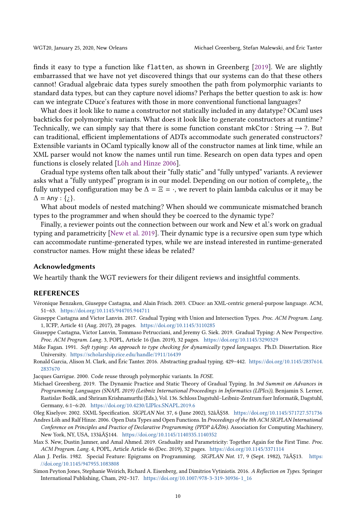finds it easy to type a function like flatten, as shown in Greenberg [\[2019\]](#page-9-3). We are slightly embarrassed that we have not yet discovered things that our systems can do that these others cannot! Gradual algebraic data types surely smoothen the path from polymorphic variants to standard data types, but can they capture novel idioms? Perhaps the better question to ask is: how can we integrate CDuce's features with those in more conventional functional languages?

What does it look like to name a constructor not statically included in any datatype? OCaml uses backticks for polymorphic variants. What does it look like to generate constructors at runtime? Technically, we can simply say that there is some function constant mkCtor : String  $\rightarrow$  ?. But can traditional, efficient implementations of ADTs accommodate such generated constructors? Extensible variants in OCaml typically know all of the constructor names at link time, while an XML parser would not know the names until run time. Research on open data types and open functions is closely related [\[Löh and Hinze](#page-9-10) [2006\]](#page-9-10).

Gradual type systems often talk about their "fully static" and "fully untyped" variants. A reviewer asks what a "fully untyped" program is in our model. Depending on our notion of complete<sub> $\Lambda$ </sub>, the fully untyped configuration may be  $\Delta = \Xi = \cdot$ , we revert to plain lambda calculus or it may be  $\Delta = \Delta n v \cdot f \cdot \lambda$  $\Delta$  = Any : { $\chi$ }.

What about models of nested matching? When should we communicate mismatched branch types to the programmer and when should they be coerced to the dynamic type?

Finally, a reviewer points out the connection between our work and New et al.'s work on gradual typing and parametricity [\[New et al.](#page-9-11) [2019\]](#page-9-11). Their dynamic type is a recursive open sum type which can accommodate runtime-generated types, while we are instead interested in runtime-generated constructor names. How might these ideas be related?

#### Acknowledgments

We heartily thank the WGT reviewers for their diligent reviews and insightful comments.

#### REFERENCES

- <span id="page-9-5"></span>Véronique Benzaken, Giuseppe Castagna, and Alain Frisch. 2003. CDuce: an XML-centric general-purpose language. ACM, 51–63. <https://doi.org/10.1145/944705.944711>
- <span id="page-9-1"></span>Giuseppe Castagna and Victor Lanvin. 2017. Gradual Typing with Union and Intersection Types. Proc. ACM Program. Lang. 1, ICFP, Article 41 (Aug. 2017), 28 pages. <https://doi.org/10.1145/3110285>
- <span id="page-9-2"></span>Giuseppe Castagna, Victor Lanvin, Tommaso Petrucciani, and Jeremy G. Siek. 2019. Gradual Typing: A New Perspective. Proc. ACM Program. Lang. 3, POPL, Article 16 (Jan. 2019), 32 pages. <https://doi.org/10.1145/3290329>
- <span id="page-9-6"></span>Mike Fagan. 1991. Soft typing: An approach to type checking for dynamically typed languages. Ph.D. Dissertation. Rice University. <https://scholarship.rice.edu/handle/1911/16439>
- <span id="page-9-0"></span>Ronald Garcia, Alison M. Clark, and Éric Tanter. 2016. Abstracting gradual typing. 429–442. [https://doi.org/10.1145/2837614.](https://doi.org/10.1145/2837614.2837670) [2837670](https://doi.org/10.1145/2837614.2837670)

<span id="page-9-8"></span>Jacques Garrigue. 2000. Code reuse through polymorphic variants. In FOSE.

- <span id="page-9-3"></span>Michael Greenberg. 2019. The Dynamic Practice and Static Theory of Gradual Typing. In 3rd Summit on Advances in Programming Languages (SNAPL 2019) (Leibniz International Proceedings in Informatics (LIPIcs)), Benjamin S. Lerner, Rastislav Bodík, and Shriram Krishnamurthi (Eds.), Vol. 136. Schloss Dagstuhl–Leibniz-Zentrum fuer Informatik, Dagstuhl, Germany, 6:1–6:20. <https://doi.org/10.4230/LIPIcs.SNAPL.2019.6>
- <span id="page-9-7"></span>Oleg Kiselyov. 2002. SXML Specification. SIGPLAN Not. 37, 6 (June 2002), 52âĂŞ58. <https://doi.org/10.1145/571727.571736>
- <span id="page-9-10"></span>Andres Löh and Ralf Hinze. 2006. Open Data Types and Open Functions. In Proceedings of the 8th ACM SIGPLAN International Conference on Principles and Practice of Declarative Programming (PPDP âĂŹ06). Association for Computing Machinery, New York, NY, USA, 133âĂŞ144. <https://doi.org/10.1145/1140335.1140352>
- <span id="page-9-11"></span>Max S. New, Dustin Jamner, and Amal Ahmed. 2019. Graduality and Parametricity: Together Again for the First Time. Proc. ACM Program. Lang. 4, POPL, Article Article 46 (Dec. 2019), 32 pages. <https://doi.org/10.1145/3371114>
- <span id="page-9-4"></span>Alan J. Perlis. 1982. Special Feature: Epigrams on Programming. SIGPLAN Not. 17, 9 (Sept. 1982), 7âĂŞ13. [https:](https://doi.org/10.1145/947955.1083808) [//doi.org/10.1145/947955.1083808](https://doi.org/10.1145/947955.1083808)
- <span id="page-9-9"></span>Simon Peyton Jones, Stephanie Weirich, Richard A. Eisenberg, and Dimitrios Vytiniotis. 2016. A Reflection on Types. Springer International Publishing, Cham, 292–317. [https://doi.org/10.1007/978-3-319-30936-1\\_16](https://doi.org/10.1007/978-3-319-30936-1_16)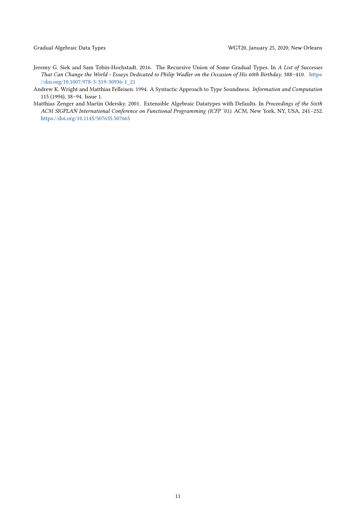- <span id="page-10-0"></span>Jeremy G. Siek and Sam Tobin-Hochstadt. 2016. The Recursive Union of Some Gradual Types. In A List of Successes That Can Change the World - Essays Dedicated to Philip Wadler on the Occasion of His 60th Birthday. 388–410. [https:](https://doi.org/10.1007/978-3-319-30936-1_21) [//doi.org/10.1007/978-3-319-30936-1\\_21](https://doi.org/10.1007/978-3-319-30936-1_21)
- <span id="page-10-1"></span>Andrew K. Wright and Matthias Felleisen. 1994. A Syntactic Approach to Type Soundness. Information and Computation 115 (1994), 38–94. Issue 1.
- <span id="page-10-2"></span>Matthias Zenger and Martin Odersky. 2001. Extensible Algebraic Datatypes with Defaults. In Proceedings of the Sixth ACM SIGPLAN International Conference on Functional Programming (ICFP '01). ACM, New York, NY, USA, 241–252. <https://doi.org/10.1145/507635.507665>